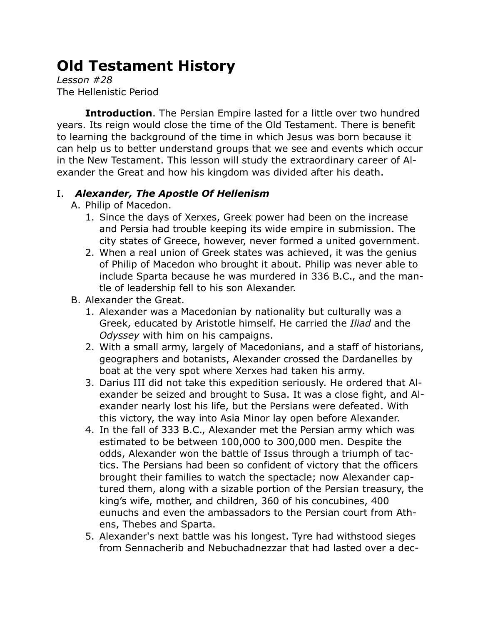## **Old Testament History**

*Lesson #28* The Hellenistic Period

**Introduction**. The Persian Empire lasted for a little over two hundred years. Its reign would close the time of the Old Testament. There is benefit to learning the background of the time in which Jesus was born because it can help us to better understand groups that we see and events which occur in the New Testament. This lesson will study the extraordinary career of Alexander the Great and how his kingdom was divided after his death.

## I. *Alexander, The Apostle Of Hellenism*

- A. Philip of Macedon.
	- 1. Since the days of Xerxes, Greek power had been on the increase and Persia had trouble keeping its wide empire in submission. The city states of Greece, however, never formed a united government.
	- 2. When a real union of Greek states was achieved, it was the genius of Philip of Macedon who brought it about. Philip was never able to include Sparta because he was murdered in 336 B.C., and the mantle of leadership fell to his son Alexander.
- B. Alexander the Great.
	- 1. Alexander was a Macedonian by nationality but culturally was a Greek, educated by Aristotle himself. He carried the *Iliad* and the *Odyssey* with him on his campaigns.
	- 2. With a small army, largely of Macedonians, and a staff of historians, geographers and botanists, Alexander crossed the Dardanelles by boat at the very spot where Xerxes had taken his army.
	- 3. Darius III did not take this expedition seriously. He ordered that Alexander be seized and brought to Susa. It was a close fight, and Alexander nearly lost his life, but the Persians were defeated. With this victory, the way into Asia Minor lay open before Alexander.
	- 4. In the fall of 333 B.C., Alexander met the Persian army which was estimated to be between 100,000 to 300,000 men. Despite the odds, Alexander won the battle of Issus through a triumph of tactics. The Persians had been so confident of victory that the officers brought their families to watch the spectacle; now Alexander captured them, along with a sizable portion of the Persian treasury, the king's wife, mother, and children, 360 of his concubines, 400 eunuchs and even the ambassadors to the Persian court from Athens, Thebes and Sparta.
	- 5. Alexander's next battle was his longest. Tyre had withstood sieges from Sennacherib and Nebuchadnezzar that had lasted over a dec-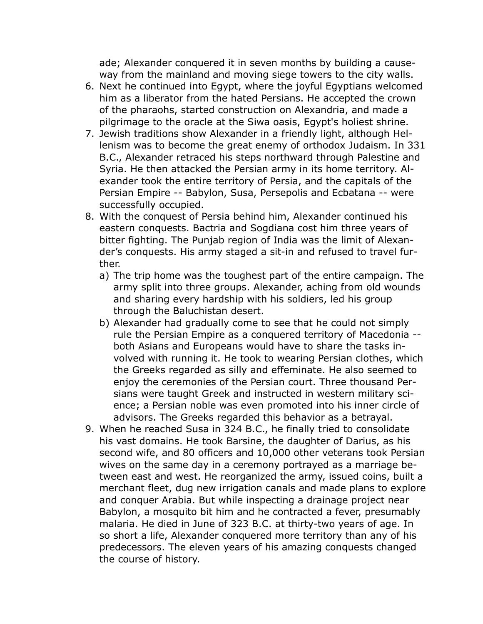ade; Alexander conquered it in seven months by building a causeway from the mainland and moving siege towers to the city walls.

- 6. Next he continued into Egypt, where the joyful Egyptians welcomed him as a liberator from the hated Persians. He accepted the crown of the pharaohs, started construction on Alexandria, and made a pilgrimage to the oracle at the Siwa oasis, Egypt's holiest shrine.
- 7. Jewish traditions show Alexander in a friendly light, although Hellenism was to become the great enemy of orthodox Judaism. In 331 B.C., Alexander retraced his steps northward through Palestine and Syria. He then attacked the Persian army in its home territory. Alexander took the entire territory of Persia, and the capitals of the Persian Empire -- Babylon, Susa, Persepolis and Ecbatana -- were successfully occupied.
- 8. With the conquest of Persia behind him, Alexander continued his eastern conquests. Bactria and Sogdiana cost him three years of bitter fighting. The Punjab region of India was the limit of Alexander's conquests. His army staged a sit-in and refused to travel further.
	- a) The trip home was the toughest part of the entire campaign. The army split into three groups. Alexander, aching from old wounds and sharing every hardship with his soldiers, led his group through the Baluchistan desert.
	- b) Alexander had gradually come to see that he could not simply rule the Persian Empire as a conquered territory of Macedonia - both Asians and Europeans would have to share the tasks involved with running it. He took to wearing Persian clothes, which the Greeks regarded as silly and effeminate. He also seemed to enjoy the ceremonies of the Persian court. Three thousand Persians were taught Greek and instructed in western military science; a Persian noble was even promoted into his inner circle of advisors. The Greeks regarded this behavior as a betrayal.
- 9. When he reached Susa in 324 B.C., he finally tried to consolidate his vast domains. He took Barsine, the daughter of Darius, as his second wife, and 80 officers and 10,000 other veterans took Persian wives on the same day in a ceremony portrayed as a marriage between east and west. He reorganized the army, issued coins, built a merchant fleet, dug new irrigation canals and made plans to explore and conquer Arabia. But while inspecting a drainage project near Babylon, a mosquito bit him and he contracted a fever, presumably malaria. He died in June of 323 B.C. at thirty-two years of age. In so short a life, Alexander conquered more territory than any of his predecessors. The eleven years of his amazing conquests changed the course of history.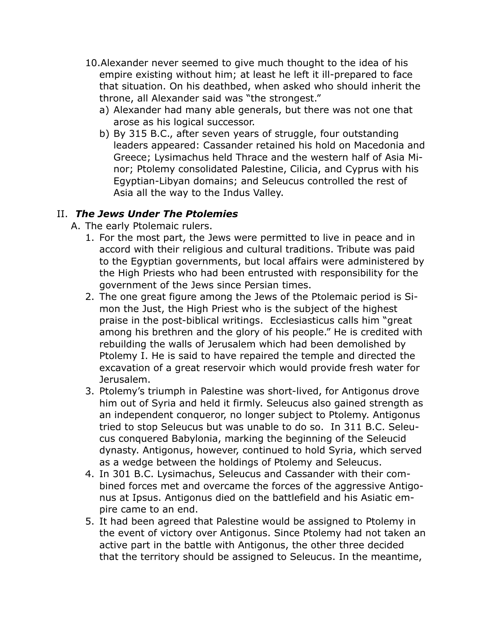- 10.Alexander never seemed to give much thought to the idea of his empire existing without him; at least he left it ill-prepared to face that situation. On his deathbed, when asked who should inherit the throne, all Alexander said was "the strongest."
	- a) Alexander had many able generals, but there was not one that arose as his logical successor.
	- b) By 315 B.C., after seven years of struggle, four outstanding leaders appeared: Cassander retained his hold on Macedonia and Greece; Lysimachus held Thrace and the western half of Asia Minor; Ptolemy consolidated Palestine, Cilicia, and Cyprus with his Egyptian-Libyan domains; and Seleucus controlled the rest of Asia all the way to the Indus Valley.

## II. *The Jews Under The Ptolemies*

- A. The early Ptolemaic rulers.
	- 1. For the most part, the Jews were permitted to live in peace and in accord with their religious and cultural traditions. Tribute was paid to the Egyptian governments, but local affairs were administered by the High Priests who had been entrusted with responsibility for the government of the Jews since Persian times.
	- 2. The one great figure among the Jews of the Ptolemaic period is Simon the Just, the High Priest who is the subject of the highest praise in the post-biblical writings. Ecclesiasticus calls him "great among his brethren and the glory of his people." He is credited with rebuilding the walls of Jerusalem which had been demolished by Ptolemy I. He is said to have repaired the temple and directed the excavation of a great reservoir which would provide fresh water for Jerusalem.
	- 3. Ptolemy's triumph in Palestine was short-lived, for Antigonus drove him out of Syria and held it firmly. Seleucus also gained strength as an independent conqueror, no longer subject to Ptolemy. Antigonus tried to stop Seleucus but was unable to do so. In 311 B.C. Seleucus conquered Babylonia, marking the beginning of the Seleucid dynasty. Antigonus, however, continued to hold Syria, which served as a wedge between the holdings of Ptolemy and Seleucus.
	- 4. In 301 B.C. Lysimachus, Seleucus and Cassander with their combined forces met and overcame the forces of the aggressive Antigonus at Ipsus. Antigonus died on the battlefield and his Asiatic empire came to an end.
	- 5. It had been agreed that Palestine would be assigned to Ptolemy in the event of victory over Antigonus. Since Ptolemy had not taken an active part in the battle with Antigonus, the other three decided that the territory should be assigned to Seleucus. In the meantime,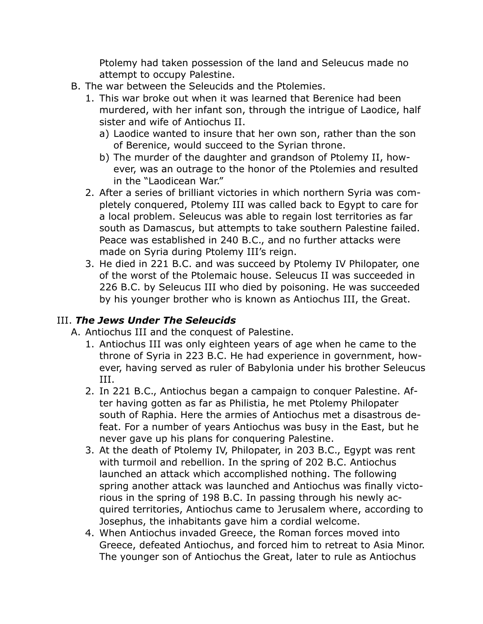Ptolemy had taken possession of the land and Seleucus made no attempt to occupy Palestine.

- B. The war between the Seleucids and the Ptolemies.
	- 1. This war broke out when it was learned that Berenice had been murdered, with her infant son, through the intrigue of Laodice, half sister and wife of Antiochus II.
		- a) Laodice wanted to insure that her own son, rather than the son of Berenice, would succeed to the Syrian throne.
		- b) The murder of the daughter and grandson of Ptolemy II, however, was an outrage to the honor of the Ptolemies and resulted in the "Laodicean War."
	- 2. After a series of brilliant victories in which northern Syria was completely conquered, Ptolemy III was called back to Egypt to care for a local problem. Seleucus was able to regain lost territories as far south as Damascus, but attempts to take southern Palestine failed. Peace was established in 240 B.C., and no further attacks were made on Syria during Ptolemy III's reign.
	- 3. He died in 221 B.C. and was succeed by Ptolemy IV Philopater, one of the worst of the Ptolemaic house. Seleucus II was succeeded in 226 B.C. by Seleucus III who died by poisoning. He was succeeded by his younger brother who is known as Antiochus III, the Great.

## III. *The Jews Under The Seleucids*

- A. Antiochus III and the conquest of Palestine.
	- 1. Antiochus III was only eighteen years of age when he came to the throne of Syria in 223 B.C. He had experience in government, however, having served as ruler of Babylonia under his brother Seleucus III.
	- 2. In 221 B.C., Antiochus began a campaign to conquer Palestine. After having gotten as far as Philistia, he met Ptolemy Philopater south of Raphia. Here the armies of Antiochus met a disastrous defeat. For a number of years Antiochus was busy in the East, but he never gave up his plans for conquering Palestine.
	- 3. At the death of Ptolemy IV, Philopater, in 203 B.C., Egypt was rent with turmoil and rebellion. In the spring of 202 B.C. Antiochus launched an attack which accomplished nothing. The following spring another attack was launched and Antiochus was finally victorious in the spring of 198 B.C. In passing through his newly acquired territories, Antiochus came to Jerusalem where, according to Josephus, the inhabitants gave him a cordial welcome.
	- 4. When Antiochus invaded Greece, the Roman forces moved into Greece, defeated Antiochus, and forced him to retreat to Asia Minor. The younger son of Antiochus the Great, later to rule as Antiochus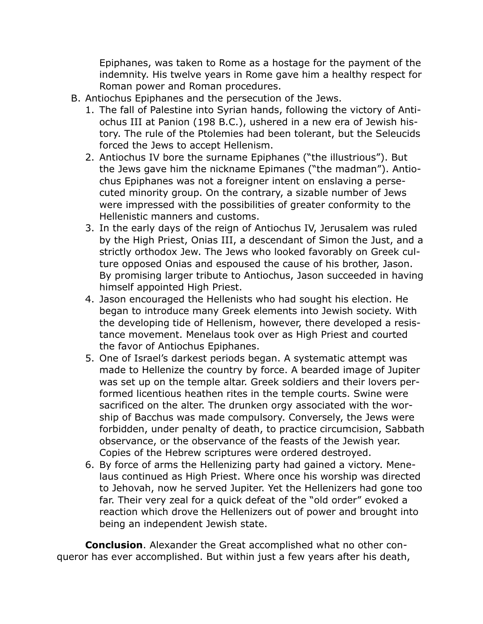Epiphanes, was taken to Rome as a hostage for the payment of the indemnity. His twelve years in Rome gave him a healthy respect for Roman power and Roman procedures.

- B. Antiochus Epiphanes and the persecution of the Jews.
	- 1. The fall of Palestine into Syrian hands, following the victory of Antiochus III at Panion (198 B.C.), ushered in a new era of Jewish history. The rule of the Ptolemies had been tolerant, but the Seleucids forced the Jews to accept Hellenism.
	- 2. Antiochus IV bore the surname Epiphanes ("the illustrious"). But the Jews gave him the nickname Epimanes ("the madman"). Antiochus Epiphanes was not a foreigner intent on enslaving a persecuted minority group. On the contrary, a sizable number of Jews were impressed with the possibilities of greater conformity to the Hellenistic manners and customs.
	- 3. In the early days of the reign of Antiochus IV, Jerusalem was ruled by the High Priest, Onias III, a descendant of Simon the Just, and a strictly orthodox Jew. The Jews who looked favorably on Greek culture opposed Onias and espoused the cause of his brother, Jason. By promising larger tribute to Antiochus, Jason succeeded in having himself appointed High Priest.
	- 4. Jason encouraged the Hellenists who had sought his election. He began to introduce many Greek elements into Jewish society. With the developing tide of Hellenism, however, there developed a resistance movement. Menelaus took over as High Priest and courted the favor of Antiochus Epiphanes.
	- 5. One of Israel's darkest periods began. A systematic attempt was made to Hellenize the country by force. A bearded image of Jupiter was set up on the temple altar. Greek soldiers and their lovers performed licentious heathen rites in the temple courts. Swine were sacrificed on the alter. The drunken orgy associated with the worship of Bacchus was made compulsory. Conversely, the Jews were forbidden, under penalty of death, to practice circumcision, Sabbath observance, or the observance of the feasts of the Jewish year. Copies of the Hebrew scriptures were ordered destroyed.
	- 6. By force of arms the Hellenizing party had gained a victory. Menelaus continued as High Priest. Where once his worship was directed to Jehovah, now he served Jupiter. Yet the Hellenizers had gone too far. Their very zeal for a quick defeat of the "old order" evoked a reaction which drove the Hellenizers out of power and brought into being an independent Jewish state.

**Conclusion**. Alexander the Great accomplished what no other conqueror has ever accomplished. But within just a few years after his death,